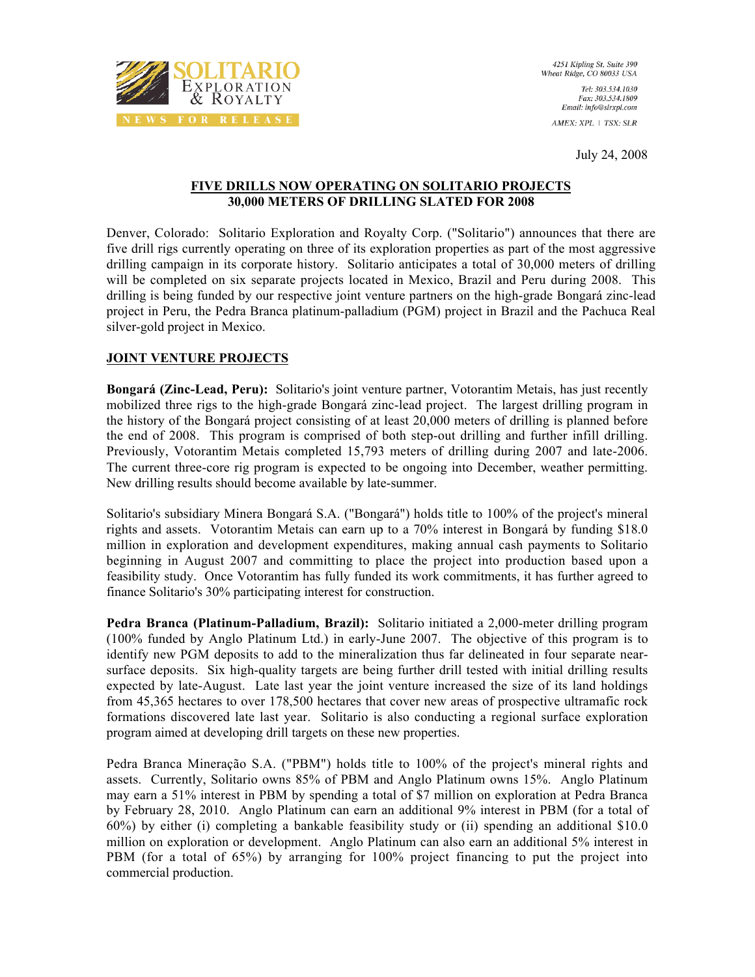

July 24, 2008

## **FIVE DRILLS NOW OPERATING ON SOLITARIO PROJECTS 30,000 METERS OF DRILLING SLATED FOR 2008**

Denver, Colorado: Solitario Exploration and Royalty Corp. ("Solitario") announces that there are five drill rigs currently operating on three of its exploration properties as part of the most aggressive drilling campaign in its corporate history. Solitario anticipates a total of 30,000 meters of drilling will be completed on six separate projects located in Mexico, Brazil and Peru during 2008. This drilling is being funded by our respective joint venture partners on the high-grade Bongará zinc-lead project in Peru, the Pedra Branca platinum-palladium (PGM) project in Brazil and the Pachuca Real silver-gold project in Mexico.

# **JOINT VENTURE PROJECTS**

**Bongará (Zinc-Lead, Peru):** Solitario's joint venture partner, Votorantim Metais, has just recently mobilized three rigs to the high-grade Bongará zinc-lead project. The largest drilling program in the history of the Bongará project consisting of at least 20,000 meters of drilling is planned before the end of 2008. This program is comprised of both step-out drilling and further infill drilling. Previously, Votorantim Metais completed 15,793 meters of drilling during 2007 and late-2006. The current three-core rig program is expected to be ongoing into December, weather permitting. New drilling results should become available by late-summer.

Solitario's subsidiary Minera Bongará S.A. ("Bongará") holds title to 100% of the project's mineral rights and assets. Votorantim Metais can earn up to a 70% interest in Bongará by funding \$18.0 million in exploration and development expenditures, making annual cash payments to Solitario beginning in August 2007 and committing to place the project into production based upon a feasibility study. Once Votorantim has fully funded its work commitments, it has further agreed to finance Solitario's 30% participating interest for construction.

**Pedra Branca (Platinum-Palladium, Brazil):** Solitario initiated a 2,000-meter drilling program (100% funded by Anglo Platinum Ltd.) in early-June 2007. The objective of this program is to identify new PGM deposits to add to the mineralization thus far delineated in four separate nearsurface deposits. Six high-quality targets are being further drill tested with initial drilling results expected by late-August. Late last year the joint venture increased the size of its land holdings from 45,365 hectares to over 178,500 hectares that cover new areas of prospective ultramafic rock formations discovered late last year. Solitario is also conducting a regional surface exploration program aimed at developing drill targets on these new properties.

Pedra Branca Mineração S.A. ("PBM") holds title to 100% of the project's mineral rights and assets. Currently, Solitario owns 85% of PBM and Anglo Platinum owns 15%. Anglo Platinum may earn a 51% interest in PBM by spending a total of \$7 million on exploration at Pedra Branca by February 28, 2010. Anglo Platinum can earn an additional 9% interest in PBM (for a total of 60%) by either (i) completing a bankable feasibility study or (ii) spending an additional \$10.0 million on exploration or development. Anglo Platinum can also earn an additional 5% interest in PBM (for a total of 65%) by arranging for 100% project financing to put the project into commercial production.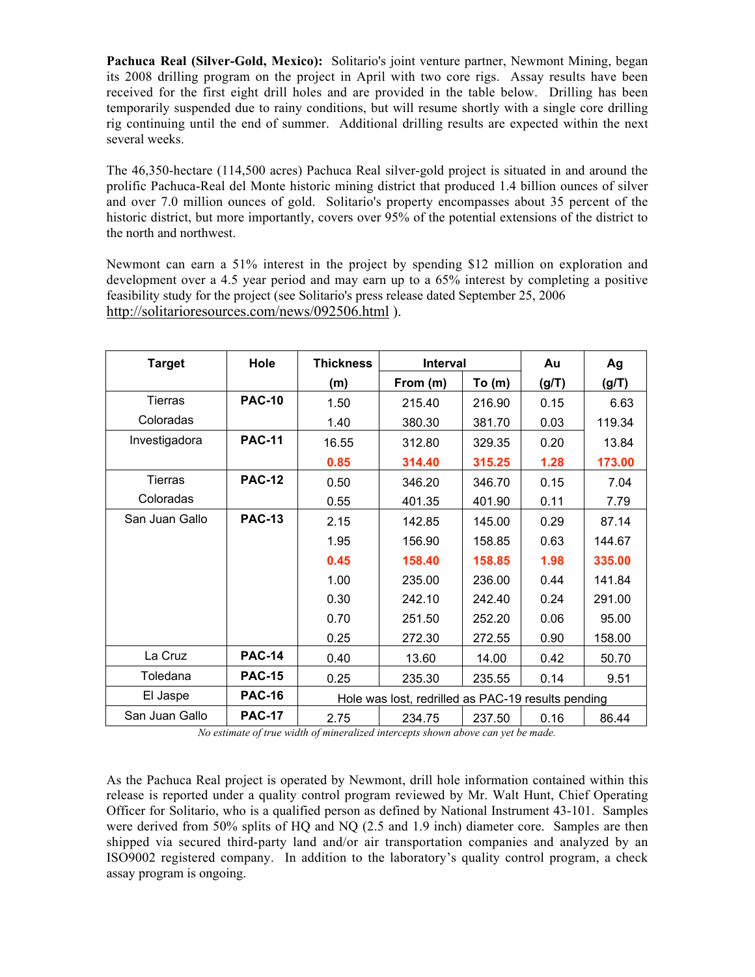**Pachuca Real (Silver-Gold, Mexico):** Solitario's joint venture partner, Newmont Mining, began its 2008 drilling program on the project in April with two core rigs. Assay results have been received for the first eight drill holes and are provided in the table below. Drilling has been temporarily suspended due to rainy conditions, but will resume shortly with a single core drilling rig continuing until the end of summer. Additional drilling results are expected within the next several weeks.

The 46,350-hectare (114,500 acres) Pachuca Real silver-gold project is situated in and around the prolific Pachuca-Real del Monte historic mining district that produced 1.4 billion ounces of silver and over 7.0 million ounces of gold. Solitario's property encompasses about 35 percent of the historic district, but more importantly, covers over 95% of the potential extensions of the district to the north and northwest.

Newmont can earn a 51% interest in the project by spending \$12 million on exploration and development over a 4.5 year period and may earn up to a 65% interest by completing a positive feasibility study for the project (see Solitario's press release dated September 25, 2006 http://solitarioresources.com/news/092506.html ).

| <b>Target</b>  | Hole          | <b>Thickness</b>                                   | Interval |        | Au    | Ag     |
|----------------|---------------|----------------------------------------------------|----------|--------|-------|--------|
|                |               | (m)                                                | From (m) | To (m) | (g/T) | (g/T)  |
| Tierras        | <b>PAC-10</b> | 1.50                                               | 215.40   | 216.90 | 0.15  | 6.63   |
| Coloradas      |               | 1.40                                               | 380.30   | 381.70 | 0.03  | 119.34 |
| Investigadora  | <b>PAC-11</b> | 16.55                                              | 312.80   | 329.35 | 0.20  | 13.84  |
|                |               | 0.85                                               | 314.40   | 315.25 | 1.28  | 173.00 |
| Tierras        | <b>PAC-12</b> | 0.50                                               | 346.20   | 346.70 | 0.15  | 7.04   |
| Coloradas      |               | 0.55                                               | 401.35   | 401.90 | 0.11  | 7.79   |
| San Juan Gallo | <b>PAC-13</b> | 2.15                                               | 142.85   | 145.00 | 0.29  | 87.14  |
|                |               | 1.95                                               | 156.90   | 158.85 | 0.63  | 144.67 |
|                |               | 0.45                                               | 158.40   | 158.85 | 1.98  | 335.00 |
|                |               | 1.00                                               | 235.00   | 236.00 | 0.44  | 141.84 |
|                |               | 0.30                                               | 242.10   | 242.40 | 0.24  | 291.00 |
|                |               | 0.70                                               | 251.50   | 252.20 | 0.06  | 95.00  |
|                |               | 0.25                                               | 272.30   | 272.55 | 0.90  | 158.00 |
| La Cruz        | <b>PAC-14</b> | 0.40                                               | 13.60    | 14.00  | 0.42  | 50.70  |
| Toledana       | <b>PAC-15</b> | 0.25                                               | 235.30   | 235.55 | 0.14  | 9.51   |
| El Jaspe       | <b>PAC-16</b> | Hole was lost, redrilled as PAC-19 results pending |          |        |       |        |
| San Juan Gallo | <b>PAC-17</b> | 2.75                                               | 234.75   | 237.50 | 0.16  | 86.44  |

*No estimate of true width of mineralized intercepts shown above can yet be made.*

As the Pachuca Real project is operated by Newmont, drill hole information contained within this release is reported under a quality control program reviewed by Mr. Walt Hunt, Chief Operating Officer for Solitario, who is a qualified person as defined by National Instrument 43-101. Samples were derived from 50% splits of HQ and NQ (2.5 and 1.9 inch) diameter core. Samples are then shipped via secured third-party land and/or air transportation companies and analyzed by an ISO9002 registered company. In addition to the laboratory's quality control program, a check assay program is ongoing.